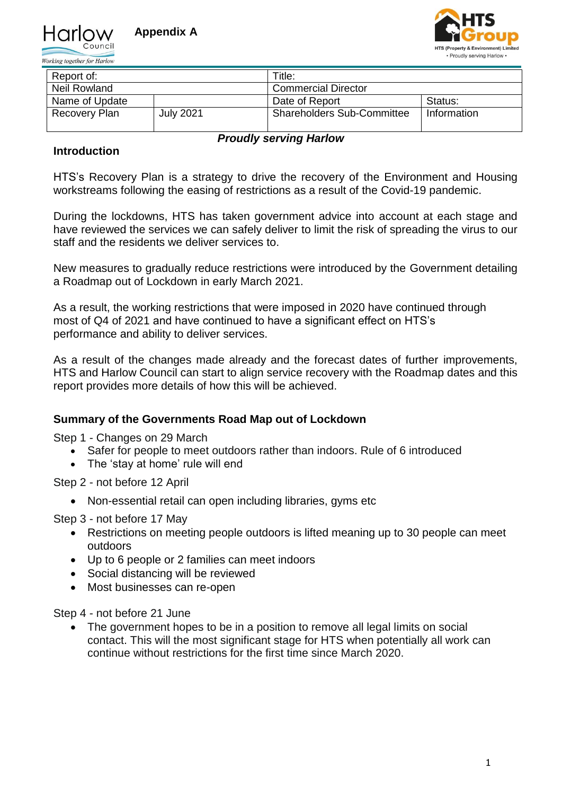

Working together for Harlow



| Report of:     |                  | Title:                            |             |  |  |  |
|----------------|------------------|-----------------------------------|-------------|--|--|--|
| Neil Rowland   |                  | <b>Commercial Director</b>        |             |  |  |  |
| Name of Update |                  | Date of Report                    | Status:     |  |  |  |
| Recovery Plan  | <b>July 2021</b> | <b>Shareholders Sub-Committee</b> | Information |  |  |  |

### *Proudly serving Harlow*

# **Introduction**

HTS's Recovery Plan is a strategy to drive the recovery of the Environment and Housing workstreams following the easing of restrictions as a result of the Covid-19 pandemic.

During the lockdowns, HTS has taken government advice into account at each stage and have reviewed the services we can safely deliver to limit the risk of spreading the virus to our staff and the residents we deliver services to.

New measures to gradually reduce restrictions were introduced by the Government detailing a Roadmap out of Lockdown in early March 2021.

As a result, the working restrictions that were imposed in 2020 have continued through most of Q4 of 2021 and have continued to have a significant effect on HTS's performance and ability to deliver services.

As a result of the changes made already and the forecast dates of further improvements, HTS and Harlow Council can start to align service recovery with the Roadmap dates and this report provides more details of how this will be achieved.

### **Summary of the Governments Road Map out of Lockdown**

Step 1 - Changes on 29 March

- Safer for people to meet outdoors rather than indoors. Rule of 6 introduced
- The 'stay at home' rule will end

Step 2 - not before 12 April

• Non-essential retail can open including libraries, gyms etc

Step 3 - not before 17 May

- Restrictions on meeting people outdoors is lifted meaning up to 30 people can meet outdoors
- Up to 6 people or 2 families can meet indoors
- Social distancing will be reviewed
- Most businesses can re-open

Step 4 - not before 21 June

• The government hopes to be in a position to remove all legal limits on social contact. This will the most significant stage for HTS when potentially all work can continue without restrictions for the first time since March 2020.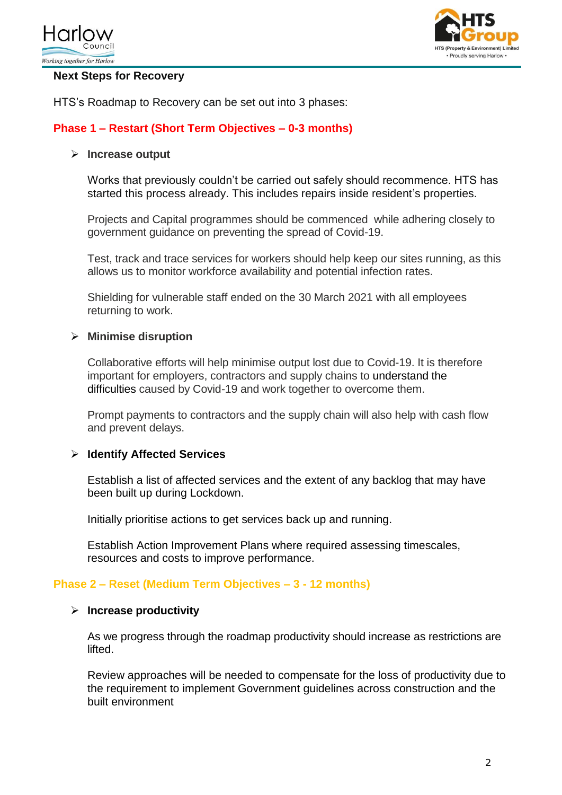



#### **Next Steps for Recovery**

HTS's Roadmap to Recovery can be set out into 3 phases:

# **Phase 1 – Restart (Short Term Objectives – 0-3 months)**

#### **Increase output**

Works that previously couldn't be carried out safely should recommence. HTS has started this process already. This includes repairs inside resident's properties.

Projects and Capital programmes should be commenced while adhering closely to government guidance on preventing the spread of Covid-19.

Test, track and trace services for workers should help keep our sites running, as this allows us to monitor workforce availability and potential infection rates.

Shielding for vulnerable staff ended on the 30 March 2021 with all employees returning to work.

#### **Minimise disruption**

Collaborative efforts will help minimise output lost due to Covid-19. It is therefore important for employers, contractors and supply chains to [understand the](https://www.fieldfisher.com/en/insights/coronavirus-guidance-for-construction-sector-gcs)  [difficulties](https://www.fieldfisher.com/en/insights/coronavirus-guidance-for-construction-sector-gcs) caused by Covid-19 and work together to overcome them.

Prompt payments to contractors and the supply chain will also help with cash flow and prevent delays.

### **Identify Affected Services**

Establish a list of affected services and the extent of any backlog that may have been built up during Lockdown.

Initially prioritise actions to get services back up and running.

Establish Action Improvement Plans where required assessing timescales, resources and costs to improve performance.

#### **Phase 2 – Reset (Medium Term Objectives – 3 - 12 months)**

#### **Increase productivity**

As we progress through the roadmap productivity should increase as restrictions are lifted.

Review approaches will be needed to compensate for the loss of productivity due to the requirement to implement Government guidelines across construction and the built environment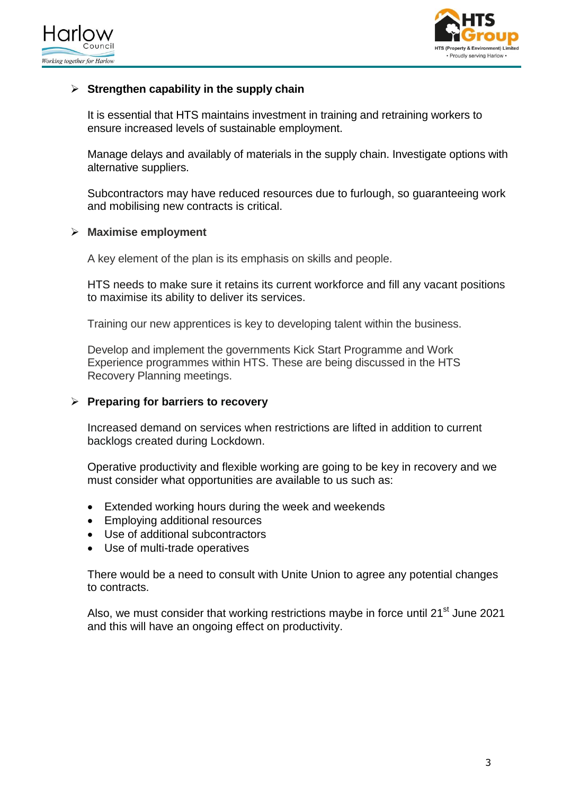



# **Strengthen capability in the supply chain**

It is essential that HTS maintains investment in training and retraining workers to ensure increased levels of sustainable employment.

Manage delays and availably of materials in the supply chain. Investigate options with alternative suppliers.

Subcontractors may have reduced resources due to furlough, so guaranteeing work and mobilising new contracts is critical.

#### **Maximise employment**

A key element of the plan is its emphasis on skills and people.

HTS needs to make sure it retains its current workforce and fill any vacant positions to maximise its ability to deliver its services.

Training our new apprentices is key to developing talent within the business.

Develop and implement the governments Kick Start Programme and Work Experience programmes within HTS. These are being discussed in the HTS Recovery Planning meetings.

#### **Preparing for barriers to recovery**

Increased demand on services when restrictions are lifted in addition to current backlogs created during Lockdown.

Operative productivity and flexible working are going to be key in recovery and we must consider what opportunities are available to us such as:

- Extended working hours during the week and weekends
- Employing additional resources
- Use of additional subcontractors
- Use of multi-trade operatives

There would be a need to consult with Unite Union to agree any potential changes to contracts.

Also, we must consider that working restrictions maybe in force until 21<sup>st</sup> June 2021 and this will have an ongoing effect on productivity.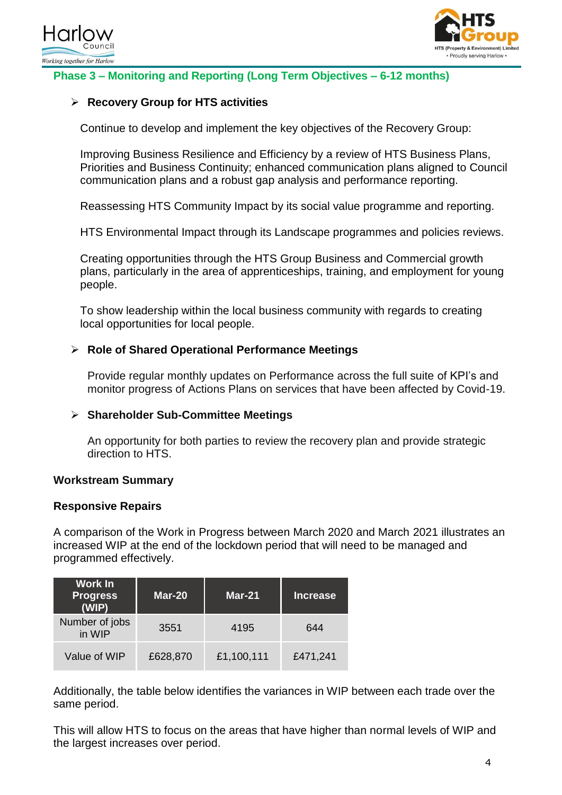



# **Phase 3 – Monitoring and Reporting (Long Term Objectives – 6-12 months)**

# **Recovery Group for HTS activities**

Continue to develop and implement the key objectives of the Recovery Group:

Improving Business Resilience and Efficiency by a review of HTS Business Plans, Priorities and Business Continuity; enhanced communication plans aligned to Council communication plans and a robust gap analysis and performance reporting.

Reassessing HTS Community Impact by its social value programme and reporting.

HTS Environmental Impact through its Landscape programmes and policies reviews.

Creating opportunities through the HTS Group Business and Commercial growth plans, particularly in the area of apprenticeships, training, and employment for young people.

To show leadership within the local business community with regards to creating local opportunities for local people.

### **Role of Shared Operational Performance Meetings**

Provide regular monthly updates on Performance across the full suite of KPI's and monitor progress of Actions Plans on services that have been affected by Covid-19.

### **Shareholder Sub-Committee Meetings**

An opportunity for both parties to review the recovery plan and provide strategic direction to HTS.

#### **Workstream Summary**

#### **Responsive Repairs**

A comparison of the Work in Progress between March 2020 and March 2021 illustrates an increased WIP at the end of the lockdown period that will need to be managed and programmed effectively.

| <b>Work In</b><br><b>Progress</b><br>(WIP) | Mar-20   | <b>Mar-21</b> | <b>Increase</b> |  |  |
|--------------------------------------------|----------|---------------|-----------------|--|--|
| Number of jobs<br>in WIP                   | 3551     | 4195          | 644             |  |  |
| Value of WIP                               | £628,870 | £1,100,111    | £471,241        |  |  |

Additionally, the table below identifies the variances in WIP between each trade over the same period.

This will allow HTS to focus on the areas that have higher than normal levels of WIP and the largest increases over period.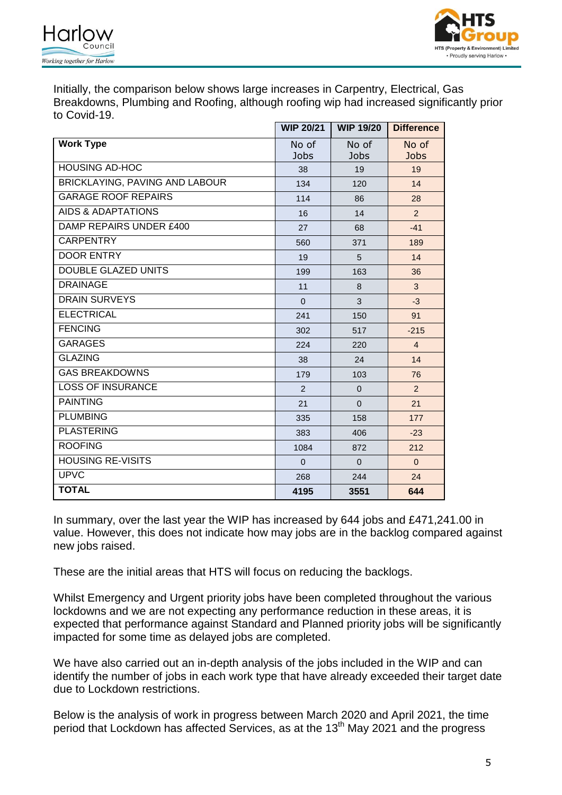



Initially, the comparison below shows large increases in Carpentry, Electrical, Gas Breakdowns, Plumbing and Roofing, although roofing wip had increased significantly prior to Covid-19.

|                                | <b>WIP 20/21</b>     | <b>WIP 19/20</b>     | <b>Difference</b>    |
|--------------------------------|----------------------|----------------------|----------------------|
| <b>Work Type</b>               | No of<br><b>Jobs</b> | No of<br><b>Jobs</b> | No of<br><b>Jobs</b> |
| <b>HOUSING AD-HOC</b>          | 38                   | 19                   | 19                   |
| BRICKLAYING, PAVING AND LABOUR | 134                  | 120                  | 14                   |
| <b>GARAGE ROOF REPAIRS</b>     | 114                  | 86                   | 28                   |
| AIDS & ADAPTATIONS             | 16                   | 14                   | $\overline{2}$       |
| DAMP REPAIRS UNDER £400        | 27                   | 68                   | $-41$                |
| <b>CARPENTRY</b>               | 560                  | 371                  | 189                  |
| <b>DOOR ENTRY</b>              | 19                   | 5                    | 14                   |
| <b>DOUBLE GLAZED UNITS</b>     | 199                  | 163                  | 36                   |
| <b>DRAINAGE</b>                | 11                   | 8                    | 3                    |
| <b>DRAIN SURVEYS</b>           | $\Omega$             | 3                    | $-3$                 |
| <b>ELECTRICAL</b>              | 241                  | 150                  | 91                   |
| <b>FENCING</b>                 | 302                  | 517                  | $-215$               |
| <b>GARAGES</b>                 | 224                  | 220                  | $\overline{4}$       |
| <b>GLAZING</b>                 | 38                   | 24                   | 14                   |
| <b>GAS BREAKDOWNS</b>          | 179                  | 103                  | 76                   |
| <b>LOSS OF INSURANCE</b>       | $\overline{2}$       | $\Omega$             | $\overline{2}$       |
| <b>PAINTING</b>                | 21                   | $\Omega$             | 21                   |
| <b>PLUMBING</b>                | 335                  | 158                  | 177                  |
| <b>PLASTERING</b>              | 383                  | 406                  | $-23$                |
| <b>ROOFING</b>                 | 1084                 | 872                  | 212                  |
| <b>HOUSING RE-VISITS</b>       | $\Omega$             | $\Omega$             | $\Omega$             |
| <b>UPVC</b>                    | 268                  | 244                  | 24                   |
| <b>TOTAL</b>                   | 4195                 | 3551                 | 644                  |

In summary, over the last year the WIP has increased by 644 jobs and £471,241.00 in value. However, this does not indicate how may jobs are in the backlog compared against new jobs raised.

These are the initial areas that HTS will focus on reducing the backlogs.

Whilst Emergency and Urgent priority jobs have been completed throughout the various lockdowns and we are not expecting any performance reduction in these areas, it is expected that performance against Standard and Planned priority jobs will be significantly impacted for some time as delayed jobs are completed.

We have also carried out an in-depth analysis of the jobs included in the WIP and can identify the number of jobs in each work type that have already exceeded their target date due to Lockdown restrictions.

Below is the analysis of work in progress between March 2020 and April 2021, the time period that Lockdown has affected Services, as at the  $13<sup>th</sup>$  May 2021 and the progress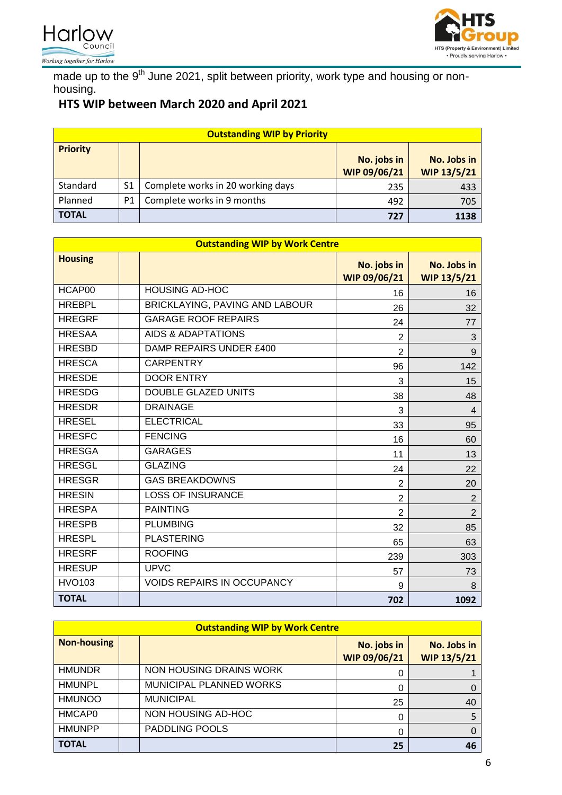



made up to the 9<sup>th</sup> June 2021, split between priority, work type and housing or nonhousing.

# **HTS WIP between March 2020 and April 2021**

| <b>Outstanding WIP by Priority</b> |                |                                   |                             |                                   |  |  |  |  |
|------------------------------------|----------------|-----------------------------------|-----------------------------|-----------------------------------|--|--|--|--|
| <b>Priority</b>                    |                |                                   | No. jobs in<br>WIP 09/06/21 | No. Jobs in<br><b>WIP 13/5/21</b> |  |  |  |  |
| Standard                           | S <sub>1</sub> | Complete works in 20 working days | 235                         | 433                               |  |  |  |  |
| Planned                            | P <sub>1</sub> | Complete works in 9 months        | 492                         | 705                               |  |  |  |  |
| <b>TOTAL</b>                       |                |                                   | 727                         | 1138                              |  |  |  |  |

| <b>Outstanding WIP by Work Centre</b> |  |                                   |                             |                                   |  |  |  |  |  |
|---------------------------------------|--|-----------------------------------|-----------------------------|-----------------------------------|--|--|--|--|--|
| <b>Housing</b>                        |  |                                   | No. jobs in<br>WIP 09/06/21 | No. Jobs in<br><b>WIP 13/5/21</b> |  |  |  |  |  |
| HCAP00                                |  | <b>HOUSING AD-HOC</b>             | 16                          | 16                                |  |  |  |  |  |
| <b>HREBPL</b>                         |  | BRICKLAYING, PAVING AND LABOUR    | 26                          | 32                                |  |  |  |  |  |
| <b>HREGRF</b>                         |  | <b>GARAGE ROOF REPAIRS</b>        | 24                          | 77                                |  |  |  |  |  |
| <b>HRESAA</b>                         |  | <b>AIDS &amp; ADAPTATIONS</b>     | 2                           | 3                                 |  |  |  |  |  |
| <b>HRESBD</b>                         |  | DAMP REPAIRS UNDER £400           | $\overline{2}$              | 9                                 |  |  |  |  |  |
| <b>HRESCA</b>                         |  | <b>CARPENTRY</b>                  | 96                          | 142                               |  |  |  |  |  |
| <b>HRESDE</b>                         |  | <b>DOOR ENTRY</b>                 | 3                           | 15                                |  |  |  |  |  |
| <b>HRESDG</b>                         |  | <b>DOUBLE GLAZED UNITS</b>        | 38                          | 48                                |  |  |  |  |  |
| <b>HRESDR</b>                         |  | <b>DRAINAGE</b>                   | 3                           | $\overline{4}$                    |  |  |  |  |  |
| <b>HRESEL</b>                         |  | <b>ELECTRICAL</b>                 | 33                          | 95                                |  |  |  |  |  |
| <b>HRESFC</b>                         |  | <b>FENCING</b>                    | 16                          | 60                                |  |  |  |  |  |
| <b>HRESGA</b>                         |  | <b>GARAGES</b>                    | 11                          | 13                                |  |  |  |  |  |
| <b>HRESGL</b>                         |  | <b>GLAZING</b>                    | 24                          | 22                                |  |  |  |  |  |
| <b>HRESGR</b>                         |  | <b>GAS BREAKDOWNS</b>             | $\overline{2}$              | 20                                |  |  |  |  |  |
| <b>HRESIN</b>                         |  | <b>LOSS OF INSURANCE</b>          | $\overline{2}$              | $\overline{2}$                    |  |  |  |  |  |
| <b>HRESPA</b>                         |  | <b>PAINTING</b>                   | $\overline{2}$              | $\overline{2}$                    |  |  |  |  |  |
| <b>HRESPB</b>                         |  | <b>PLUMBING</b>                   | 32                          | 85                                |  |  |  |  |  |
| <b>HRESPL</b>                         |  | <b>PLASTERING</b>                 | 65                          | 63                                |  |  |  |  |  |
| <b>HRESRF</b>                         |  | <b>ROOFING</b>                    | 239                         | 303                               |  |  |  |  |  |
| <b>HRESUP</b>                         |  | <b>UPVC</b>                       | 57                          | 73                                |  |  |  |  |  |
| <b>HVO103</b>                         |  | <b>VOIDS REPAIRS IN OCCUPANCY</b> | 9                           | 8                                 |  |  |  |  |  |
| <b>TOTAL</b>                          |  |                                   | 702                         | 1092                              |  |  |  |  |  |

| <b>Outstanding WIP by Work Centre</b> |  |                         |                             |                                   |  |  |  |  |  |
|---------------------------------------|--|-------------------------|-----------------------------|-----------------------------------|--|--|--|--|--|
| <b>Non-housing</b>                    |  |                         | No. jobs in<br>WIP 09/06/21 | No. Jobs in<br><b>WIP 13/5/21</b> |  |  |  |  |  |
| <b>HMUNDR</b>                         |  | NON HOUSING DRAINS WORK |                             |                                   |  |  |  |  |  |
| <b>HMUNPL</b>                         |  | MUNICIPAL PLANNED WORKS | 0                           |                                   |  |  |  |  |  |
| <b>HMUNOO</b>                         |  | <b>MUNICIPAL</b>        | 25                          | 40                                |  |  |  |  |  |
| HMCAP0                                |  | NON HOUSING AD-HOC      | $\Omega$                    |                                   |  |  |  |  |  |
| <b>HMUNPP</b>                         |  | <b>PADDLING POOLS</b>   | 0                           |                                   |  |  |  |  |  |
| <b>TOTAL</b>                          |  |                         | 25                          | 46                                |  |  |  |  |  |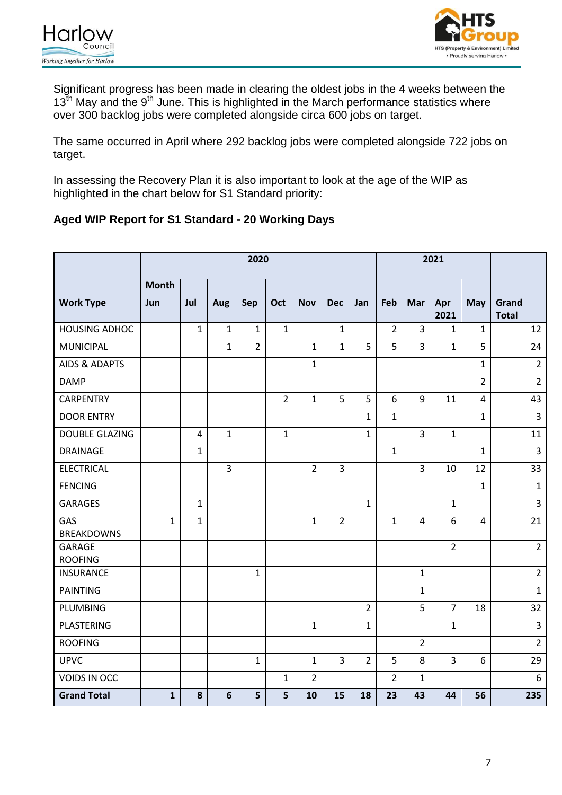



Significant progress has been made in clearing the oldest jobs in the 4 weeks between the  $13<sup>th</sup>$  May and the  $9<sup>th</sup>$  June. This is highlighted in the March performance statistics where over 300 backlog jobs were completed alongside circa 600 jobs on target.

The same occurred in April where 292 backlog jobs were completed alongside 722 jobs on target.

In assessing the Recovery Plan it is also important to look at the age of the WIP as highlighted in the chart below for S1 Standard priority:

# **Aged WIP Report for S1 Standard - 20 Working Days**

|                                 | 2020         |                |                 |                |                |                | 2021           |                |                |                         |                |                |                       |
|---------------------------------|--------------|----------------|-----------------|----------------|----------------|----------------|----------------|----------------|----------------|-------------------------|----------------|----------------|-----------------------|
|                                 | <b>Month</b> |                |                 |                |                |                |                |                |                |                         |                |                |                       |
| <b>Work Type</b>                | Jun          | Jul            | Aug             | Sep            | Oct            | <b>Nov</b>     | <b>Dec</b>     | Jan            | Feb            | Mar                     | Apr<br>2021    | May            | Grand<br><b>Total</b> |
| <b>HOUSING ADHOC</b>            |              | $\mathbf{1}$   | $\mathbf{1}$    | $\mathbf{1}$   | $\mathbf{1}$   |                | $\mathbf{1}$   |                | $\overline{2}$ | $\overline{3}$          | $\mathbf{1}$   | $\mathbf{1}$   | 12                    |
| <b>MUNICIPAL</b>                |              |                | $\mathbf{1}$    | $\overline{2}$ |                | $\mathbf{1}$   | $\mathbf{1}$   | 5              | 5              | $\overline{3}$          | $\mathbf{1}$   | 5              | 24                    |
| <b>AIDS &amp; ADAPTS</b>        |              |                |                 |                |                | $\mathbf{1}$   |                |                |                |                         |                | $\mathbf{1}$   | $\overline{2}$        |
| <b>DAMP</b>                     |              |                |                 |                |                |                |                |                |                |                         |                | $\overline{2}$ | $\overline{2}$        |
| <b>CARPENTRY</b>                |              |                |                 |                | $\overline{2}$ | $\mathbf{1}$   | 5              | 5              | 6              | 9                       | 11             | $\overline{4}$ | 43                    |
| <b>DOOR ENTRY</b>               |              |                |                 |                |                |                |                | $\mathbf{1}$   | $\mathbf 1$    |                         |                | $\mathbf{1}$   | $\overline{3}$        |
| <b>DOUBLE GLAZING</b>           |              | $\overline{4}$ | $\mathbf{1}$    |                | $\mathbf 1$    |                |                | $\mathbf{1}$   |                | 3                       | $\mathbf{1}$   |                | 11                    |
| <b>DRAINAGE</b>                 |              | $\mathbf{1}$   |                 |                |                |                |                |                | $\mathbf{1}$   |                         |                | $\mathbf{1}$   | $\overline{3}$        |
| <b>ELECTRICAL</b>               |              |                | $\overline{3}$  |                |                | $\overline{2}$ | $\overline{3}$ |                |                | 3                       | 10             | 12             | 33                    |
| <b>FENCING</b>                  |              |                |                 |                |                |                |                |                |                |                         |                | $\mathbf{1}$   | $\mathbf{1}$          |
| <b>GARAGES</b>                  |              | $\mathbf{1}$   |                 |                |                |                |                | $\mathbf{1}$   |                |                         | $\mathbf{1}$   |                | $\overline{3}$        |
| GAS<br><b>BREAKDOWNS</b>        | $\mathbf{1}$ | $\mathbf{1}$   |                 |                |                | $\mathbf{1}$   | $\overline{2}$ |                | $\mathbf{1}$   | $\overline{\mathbf{4}}$ | 6              | $\overline{4}$ | 21                    |
| <b>GARAGE</b><br><b>ROOFING</b> |              |                |                 |                |                |                |                |                |                |                         | $\overline{2}$ |                | $\overline{2}$        |
| <b>INSURANCE</b>                |              |                |                 | $\mathbf{1}$   |                |                |                |                |                | $\mathbf{1}$            |                |                | $2^{\circ}$           |
| <b>PAINTING</b>                 |              |                |                 |                |                |                |                |                |                | $\mathbf{1}$            |                |                | $\mathbf{1}$          |
| PLUMBING                        |              |                |                 |                |                |                |                | $\overline{2}$ |                | 5                       | $\overline{7}$ | 18             | 32                    |
| PLASTERING                      |              |                |                 |                |                | $\mathbf{1}$   |                | $\mathbf{1}$   |                |                         | $\mathbf{1}$   |                | $\overline{3}$        |
| <b>ROOFING</b>                  |              |                |                 |                |                |                |                |                |                | $\overline{2}$          |                |                | $\overline{2}$        |
| <b>UPVC</b>                     |              |                |                 | $\mathbf{1}$   |                | $\mathbf{1}$   | 3              | $\overline{2}$ | 5              | 8                       | 3              | 6              | 29                    |
| VOIDS IN OCC                    |              |                |                 |                | $\mathbf{1}$   | $\overline{2}$ |                |                | $\overline{2}$ | $\mathbf{1}$            |                |                | $\boldsymbol{6}$      |
| <b>Grand Total</b>              | $\mathbf{1}$ | 8              | $6\phantom{1}6$ | 5              | 5              | 10             | 15             | 18             | 23             | 43                      | 44             | 56             | 235                   |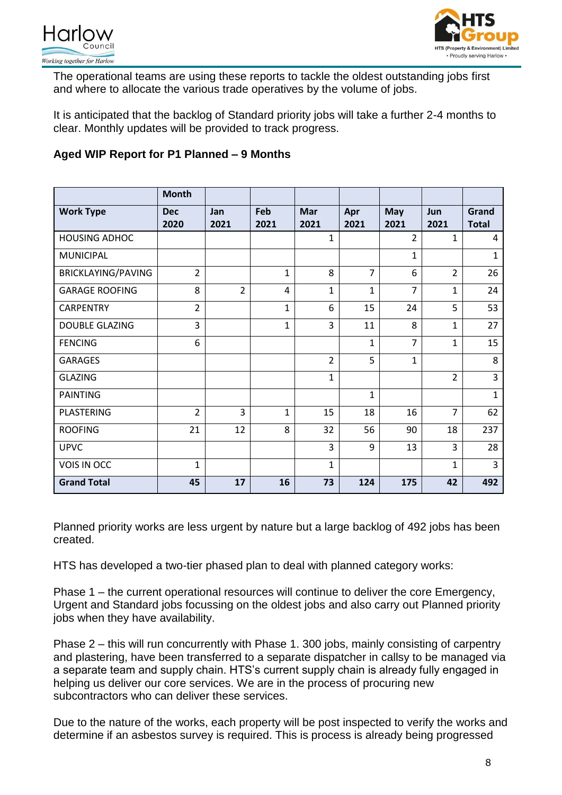



The operational teams are using these reports to tackle the oldest outstanding jobs first and where to allocate the various trade operatives by the volume of jobs.

It is anticipated that the backlog of Standard priority jobs will take a further 2-4 months to clear. Monthly updates will be provided to track progress.

# **Aged WIP Report for P1 Planned – 9 Months**

|                       | <b>Month</b>       |                |              |                    |                |                    |                |                       |
|-----------------------|--------------------|----------------|--------------|--------------------|----------------|--------------------|----------------|-----------------------|
| <b>Work Type</b>      | <b>Dec</b><br>2020 | Jan<br>2021    | Feb<br>2021  | <b>Mar</b><br>2021 | Apr<br>2021    | <b>May</b><br>2021 | Jun<br>2021    | Grand<br><b>Total</b> |
| <b>HOUSING ADHOC</b>  |                    |                |              | $\mathbf{1}$       |                | $\overline{2}$     | $\mathbf{1}$   | 4                     |
| <b>MUNICIPAL</b>      |                    |                |              |                    |                | $\mathbf 1$        |                | 1                     |
| BRICKLAYING/PAVING    | $\overline{2}$     |                | $\mathbf{1}$ | 8                  | $\overline{7}$ | 6                  | $\overline{2}$ | 26                    |
| <b>GARAGE ROOFING</b> | 8                  | $\overline{2}$ | 4            | $\mathbf{1}$       | $\mathbf{1}$   | $\overline{7}$     | $\mathbf{1}$   | 24                    |
| <b>CARPENTRY</b>      | $\overline{2}$     |                | $\mathbf 1$  | 6                  | 15             | 24                 | 5              | 53                    |
| <b>DOUBLE GLAZING</b> | 3                  |                | $\mathbf{1}$ | 3                  | 11             | 8                  | $\mathbf{1}$   | 27                    |
| <b>FENCING</b>        | 6                  |                |              |                    | $\mathbf{1}$   | $\overline{7}$     | $\mathbf{1}$   | 15                    |
| <b>GARAGES</b>        |                    |                |              | $\overline{2}$     | 5              | $\mathbf 1$        |                | 8                     |
| <b>GLAZING</b>        |                    |                |              | $\mathbf{1}$       |                |                    | $\overline{2}$ | $\overline{3}$        |
| <b>PAINTING</b>       |                    |                |              |                    | 1              |                    |                | $\mathbf{1}$          |
| PLASTERING            | $\overline{2}$     | 3              | $\mathbf{1}$ | 15                 | 18             | 16                 | 7              | 62                    |
| <b>ROOFING</b>        | 21                 | 12             | 8            | 32                 | 56             | 90                 | 18             | 237                   |
| <b>UPVC</b>           |                    |                |              | 3                  | 9              | 13                 | 3              | 28                    |
| VOIS IN OCC           | $\mathbf{1}$       |                |              | $\mathbf{1}$       |                |                    | $\mathbf{1}$   | $\overline{3}$        |
| <b>Grand Total</b>    | 45                 | 17             | 16           | 73                 | 124            | 175                | 42             | 492                   |

Planned priority works are less urgent by nature but a large backlog of 492 jobs has been created.

HTS has developed a two-tier phased plan to deal with planned category works:

Phase 1 – the current operational resources will continue to deliver the core Emergency, Urgent and Standard jobs focussing on the oldest jobs and also carry out Planned priority jobs when they have availability.

Phase 2 – this will run concurrently with Phase 1. 300 jobs, mainly consisting of carpentry and plastering, have been transferred to a separate dispatcher in callsy to be managed via a separate team and supply chain. HTS's current supply chain is already fully engaged in helping us deliver our core services. We are in the process of procuring new subcontractors who can deliver these services.

Due to the nature of the works, each property will be post inspected to verify the works and determine if an asbestos survey is required. This is process is already being progressed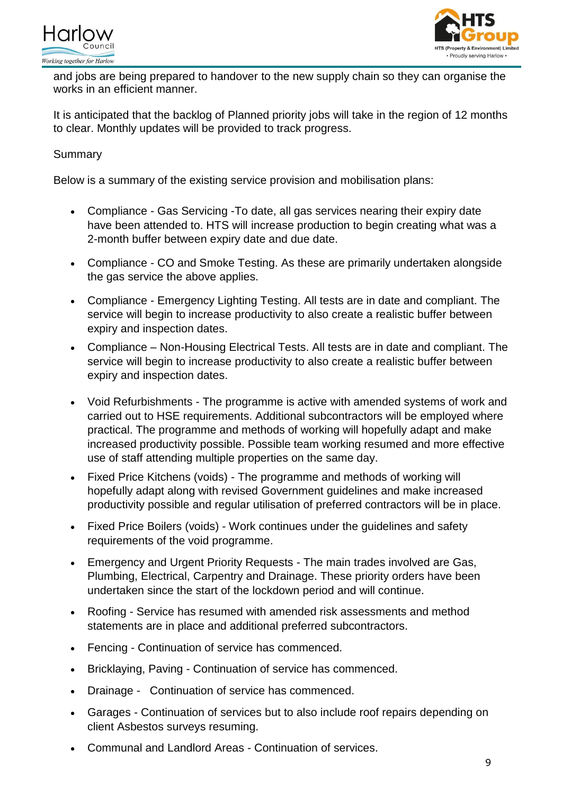



and jobs are being prepared to handover to the new supply chain so they can organise the works in an efficient manner.

It is anticipated that the backlog of Planned priority jobs will take in the region of 12 months to clear. Monthly updates will be provided to track progress.

### Summary

Below is a summary of the existing service provision and mobilisation plans:

- Compliance Gas Servicing -To date, all gas services nearing their expiry date have been attended to. HTS will increase production to begin creating what was a 2-month buffer between expiry date and due date.
- Compliance CO and Smoke Testing. As these are primarily undertaken alongside the gas service the above applies.
- Compliance Emergency Lighting Testing. All tests are in date and compliant. The service will begin to increase productivity to also create a realistic buffer between expiry and inspection dates.
- Compliance Non-Housing Electrical Tests. All tests are in date and compliant. The service will begin to increase productivity to also create a realistic buffer between expiry and inspection dates.
- Void Refurbishments The programme is active with amended systems of work and carried out to HSE requirements. Additional subcontractors will be employed where practical. The programme and methods of working will hopefully adapt and make increased productivity possible. Possible team working resumed and more effective use of staff attending multiple properties on the same day.
- Fixed Price Kitchens (voids) The programme and methods of working will hopefully adapt along with revised Government guidelines and make increased productivity possible and regular utilisation of preferred contractors will be in place.
- Fixed Price Boilers (voids) Work continues under the guidelines and safety requirements of the void programme.
- Emergency and Urgent Priority Requests The main trades involved are Gas, Plumbing, Electrical, Carpentry and Drainage. These priority orders have been undertaken since the start of the lockdown period and will continue.
- Roofing Service has resumed with amended risk assessments and method statements are in place and additional preferred subcontractors.
- Fencing Continuation of service has commenced.
- Bricklaying, Paving Continuation of service has commenced.
- Drainage Continuation of service has commenced.
- Garages Continuation of services but to also include roof repairs depending on client Asbestos surveys resuming.
- Communal and Landlord Areas Continuation of services.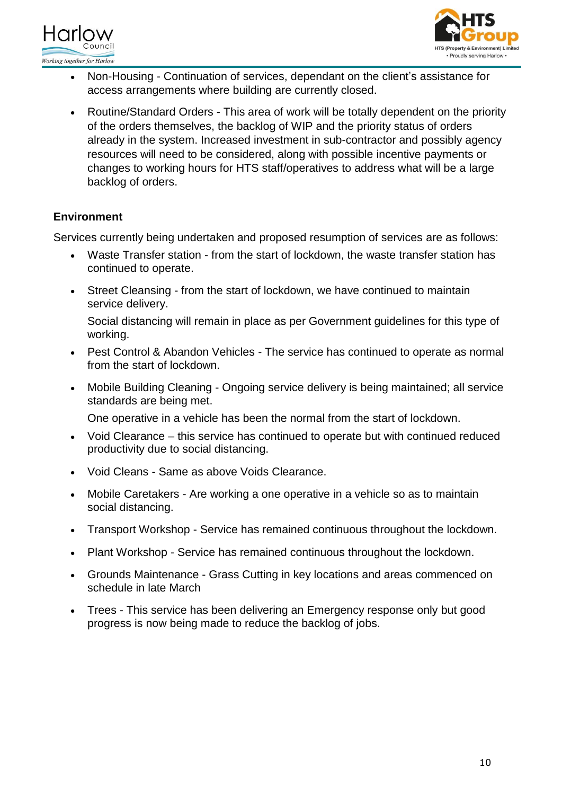



- Non-Housing Continuation of services, dependant on the client's assistance for access arrangements where building are currently closed.
- Routine/Standard Orders This area of work will be totally dependent on the priority of the orders themselves, the backlog of WIP and the priority status of orders already in the system. Increased investment in sub-contractor and possibly agency resources will need to be considered, along with possible incentive payments or changes to working hours for HTS staff/operatives to address what will be a large backlog of orders.

# **Environment**

Services currently being undertaken and proposed resumption of services are as follows:

- Waste Transfer station from the start of lockdown, the waste transfer station has continued to operate.
- Street Cleansing from the start of lockdown, we have continued to maintain service delivery.

Social distancing will remain in place as per Government guidelines for this type of working.

- Pest Control & Abandon Vehicles The service has continued to operate as normal from the start of lockdown.
- Mobile Building Cleaning Ongoing service delivery is being maintained; all service standards are being met.

One operative in a vehicle has been the normal from the start of lockdown.

- Void Clearance this service has continued to operate but with continued reduced productivity due to social distancing.
- Void Cleans Same as above Voids Clearance.
- Mobile Caretakers Are working a one operative in a vehicle so as to maintain social distancing.
- Transport Workshop Service has remained continuous throughout the lockdown.
- Plant Workshop Service has remained continuous throughout the lockdown.
- Grounds Maintenance Grass Cutting in key locations and areas commenced on schedule in late March
- Trees This service has been delivering an Emergency response only but good progress is now being made to reduce the backlog of jobs.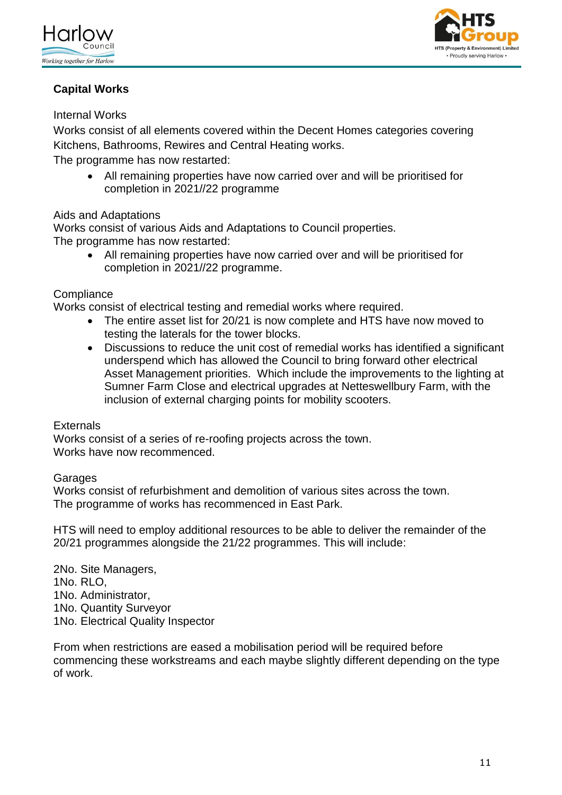



# **Capital Works**

# Internal Works

Works consist of all elements covered within the Decent Homes categories covering Kitchens, Bathrooms, Rewires and Central Heating works.

The programme has now restarted:

 All remaining properties have now carried over and will be prioritised for completion in 2021//22 programme

# Aids and Adaptations

Works consist of various Aids and Adaptations to Council properties. The programme has now restarted:

 All remaining properties have now carried over and will be prioritised for completion in 2021//22 programme.

### **Compliance**

Works consist of electrical testing and remedial works where required.

- The entire asset list for 20/21 is now complete and HTS have now moved to testing the laterals for the tower blocks.
- Discussions to reduce the unit cost of remedial works has identified a significant underspend which has allowed the Council to bring forward other electrical Asset Management priorities. Which include the improvements to the lighting at Sumner Farm Close and electrical upgrades at Netteswellbury Farm, with the inclusion of external charging points for mobility scooters.

### **Externals**

Works consist of a series of re-roofing projects across the town. Works have now recommenced.

### Garages

Works consist of refurbishment and demolition of various sites across the town. The programme of works has recommenced in East Park.

HTS will need to employ additional resources to be able to deliver the remainder of the 20/21 programmes alongside the 21/22 programmes. This will include:

2No. Site Managers, 1No. RLO, 1No. Administrator, 1No. Quantity Surveyor 1No. Electrical Quality Inspector

From when restrictions are eased a mobilisation period will be required before commencing these workstreams and each maybe slightly different depending on the type of work.